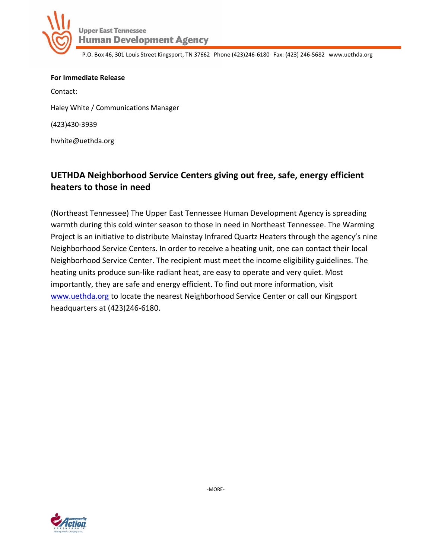

P.O. Box 46, 301 Louis Street Kingsport, TN 37662 Phone (423)246-6180 Fax: (423) 246-5682 www.uethda.org

**For Immediate Release**  Contact: Haley White / Communications Manager (423)430-3939 hwhite@uethda.org

## **UETHDA Neighborhood Service Centers giving out free, safe, energy efficient heaters to those in need**

(Northeast Tennessee) The Upper East Tennessee Human Development Agency is spreading warmth during this cold winter season to those in need in Northeast Tennessee. The Warming Project is an initiative to distribute Mainstay Infrared Quartz Heaters through the agency's nine Neighborhood Service Centers. In order to receive a heating unit, one can contact their local Neighborhood Service Center. The recipient must meet the income eligibility guidelines. The heating units produce sun-like radiant heat, are easy to operate and very quiet. Most importantly, they are safe and energy efficient. To find out more information, visit [www.uethda.org](http://www.uethda.org/) to locate the nearest Neighborhood Service Center or call our Kingsport headquarters at (423)246-6180.



-MORE-